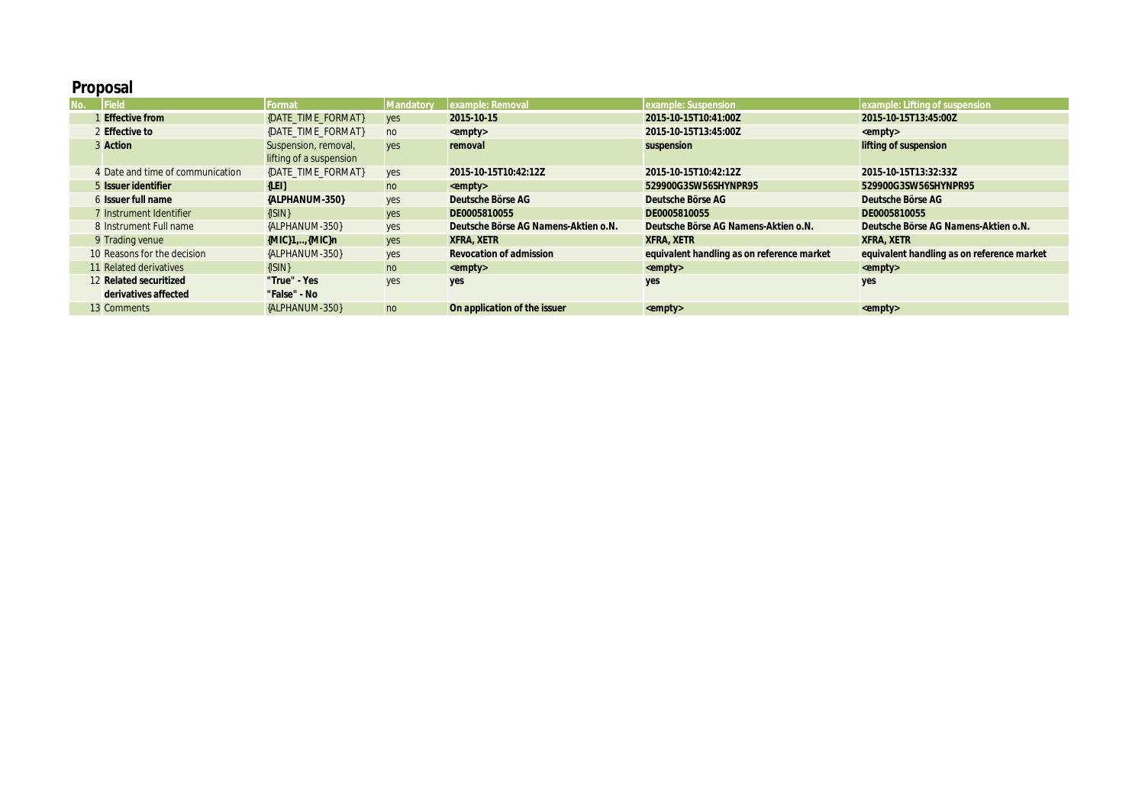## **Proposal**

| No. | Field                            | Format                  | Mandatory  | example: Removal                     | example: Suspension                        | example: Lifting of suspension             |
|-----|----------------------------------|-------------------------|------------|--------------------------------------|--------------------------------------------|--------------------------------------------|
|     | 1 Effective from                 | {DATE_TIME_FORMAT}      | yes        | 2015-10-15                           | 2015-10-15T10:41:00Z                       | 2015-10-15T13:45:00Z                       |
|     | 2 Effective to                   | {DATE TIME FORMAT}      | no         | $\leq$ empty $>$                     | 2015-10-15T13:45:00Z                       | $\leq$ empty $>$                           |
|     | 3 Action                         | Suspension, removal,    | yes        | removal                              | suspension                                 | lifting of suspension                      |
|     |                                  | lifting of a suspension |            |                                      |                                            |                                            |
|     | 4 Date and time of communication | {DATE TIME FORMAT}      | yes        | 2015-10-15T10:42:12Z                 | 2015-10-15T10:42:12Z                       | 2015-10-15T13:32:33Z                       |
|     | 5 Issuer identifier              | ${LEI}$                 | no         | $\leq$ empty $>$                     | 529900G3SW56SHYNPR95                       | 529900G3SW56SHYNPR95                       |
|     | 6 Issuer full name               | {ALPHANUM-350}          | yes        | Deutsche Börse AG                    | Deutsche Börse AG                          | Deutsche Börse AG                          |
|     | 7 Instrument Identifier          | $\{ISIN\}$              | <b>yes</b> | DE0005810055                         | DE0005810055                               | DE0005810055                               |
|     | 8 Instrument Full name           | {ALPHANUM-350}          | yes        | Deutsche Börse AG Namens-Aktien o.N. | Deutsche Börse AG Namens-Aktien o.N.       | Deutsche Börse AG Namens-Aktien o.N.       |
|     | 9 Trading venue                  | $[MIC]1$ $[MIC]n$       | yes        | <b>XFRA, XETR</b>                    | <b>XFRA, XETR</b>                          | <b>XFRA, XETR</b>                          |
|     | 10 Reasons for the decision      | {ALPHANUM-350}          | yes        | <b>Revocation of admission</b>       | equivalent handling as on reference market | equivalent handling as on reference market |
|     | 11 Related derivatives           | $\{ \text{SIN}\}\$      | no         | $\leq$ empty>                        | $\leq$ empty>                              | $\leq$ empty>                              |
|     | 12 Related securitized           | "True" - Yes            | yes        | yes                                  | yes                                        | yes                                        |
|     | derivatives affected             | "False" - No            |            |                                      |                                            |                                            |
|     | 13 Comments                      | {ALPHANUM-350}          | no         | On application of the issuer         | $\leq$ empty>                              | $\leq$ empty>                              |